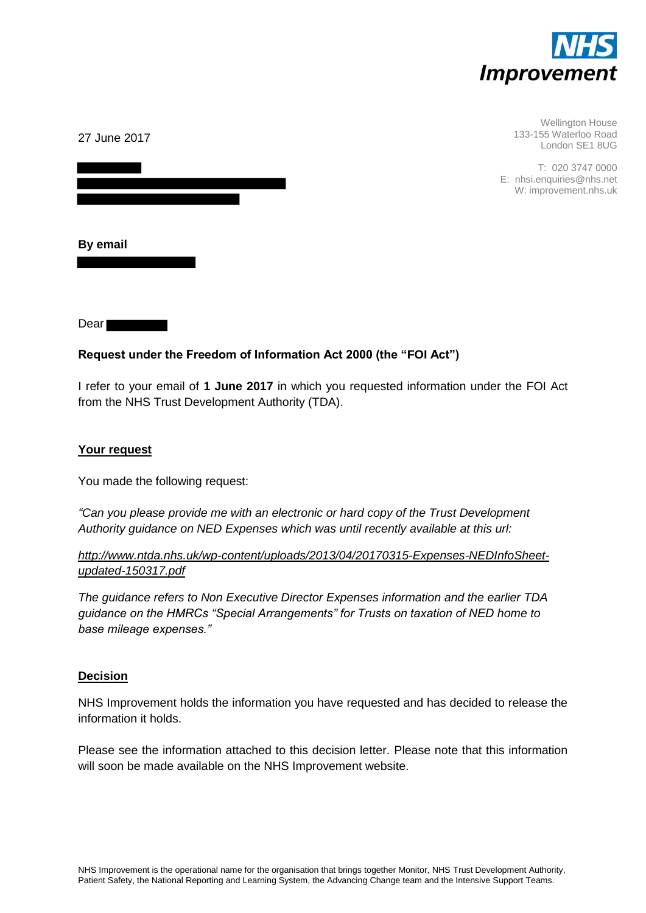

| 27 June 2017 | Wellington House<br>133-155 Waterloo Road<br>London SE1 8UG            |
|--------------|------------------------------------------------------------------------|
|              | T: 020 3747 0000<br>E: nhsi.enquiries@nhs.net<br>W: improvement.nhs.uk |
| By email     |                                                                        |

Dear **Dear** 

#### **Request under the Freedom of Information Act 2000 (the "FOI Act")**

I refer to your email of **1 June 2017** in which you requested information under the FOI Act from the NHS Trust Development Authority (TDA).

#### **Your request**

You made the following request:

*"Can you please provide me with an electronic or hard copy of the Trust Development Authority guidance on NED Expenses which was until recently available at this url:* 

*[http://www.ntda.nhs.uk/wp-content/uploads/2013/04/20170315-Expenses-NEDInfoSheet](http://www.ntda.nhs.uk/wp-content/uploads/2013/04/20170315-Expenses-NEDInfoSheet-updated-150317.pdf)[updated-150317.pdf](http://www.ntda.nhs.uk/wp-content/uploads/2013/04/20170315-Expenses-NEDInfoSheet-updated-150317.pdf)* 

*The guidance refers to Non Executive Director Expenses information and the earlier TDA guidance on the HMRCs "Special Arrangements" for Trusts on taxation of NED home to base mileage expenses."*

#### **Decision**

NHS Improvement holds the information you have requested and has decided to release the information it holds.

Please see the information attached to this decision letter. Please note that this information will soon be made available on the NHS Improvement website.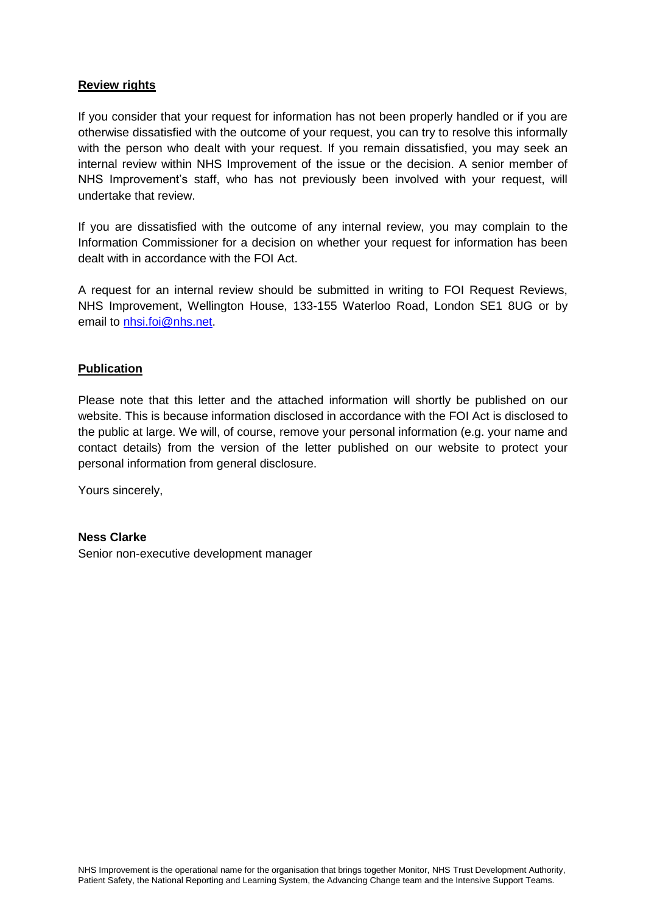#### **Review rights**

If you consider that your request for information has not been properly handled or if you are otherwise dissatisfied with the outcome of your request, you can try to resolve this informally with the person who dealt with your request. If you remain dissatisfied, you may seek an internal review within NHS Improvement of the issue or the decision. A senior member of NHS Improvement's staff, who has not previously been involved with your request, will undertake that review.

If you are dissatisfied with the outcome of any internal review, you may complain to the Information Commissioner for a decision on whether your request for information has been dealt with in accordance with the FOI Act.

A request for an internal review should be submitted in writing to FOI Request Reviews, NHS Improvement, Wellington House, 133-155 Waterloo Road, London SE1 8UG or by email to [nhsi.foi@nhs.net.](mailto:nhsi.foi@nhs.net)

#### **Publication**

Please note that this letter and the attached information will shortly be published on our website. This is because information disclosed in accordance with the FOI Act is disclosed to the public at large. We will, of course, remove your personal information (e.g. your name and contact details) from the version of the letter published on our website to protect your personal information from general disclosure.

Yours sincerely,

#### **Ness Clarke**

Senior non-executive development manager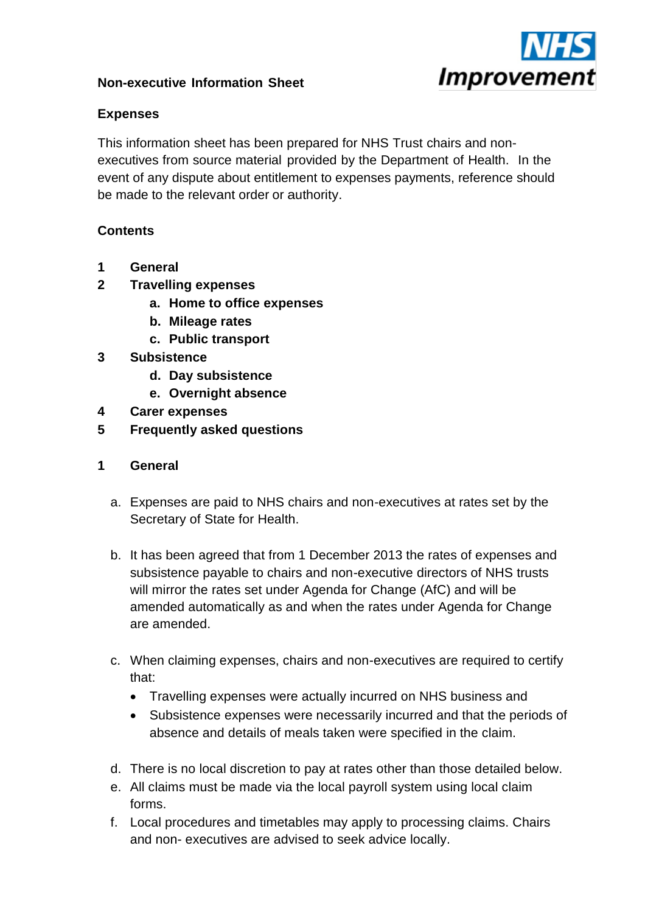

# **Non-executive Information Sheet**

# **Expenses**

This information sheet has been prepared for NHS Trust chairs and nonexecutives from source material provided by the Department of Health. In the event of any dispute about entitlement to expenses payments, reference should be made to the relevant order or authority.

# **Contents**

- **1 General**
- **2 Travelling expenses**
	- **a. Home to office expenses**
	- **b. Mileage rates**
	- **c. Public transport**
- **3 Subsistence**
	- **d. Day subsistence**
	- **e. Overnight absence**
- **4 Carer expenses**
- **5 Frequently asked questions**
- **1 General**
	- a. Expenses are paid to NHS chairs and non-executives at rates set by the Secretary of State for Health.
	- b. It has been agreed that from 1 December 2013 the rates of expenses and subsistence payable to chairs and non-executive directors of NHS trusts will mirror the rates set under Agenda for Change (AfC) and will be amended automatically as and when the rates under Agenda for Change are amended.
	- c. When claiming expenses, chairs and non-executives are required to certify that:
		- Travelling expenses were actually incurred on NHS business and
		- Subsistence expenses were necessarily incurred and that the periods of absence and details of meals taken were specified in the claim.
	- d. There is no local discretion to pay at rates other than those detailed below.
	- e. All claims must be made via the local payroll system using local claim forms.
	- f. Local procedures and timetables may apply to processing claims. Chairs and non- executives are advised to seek advice locally.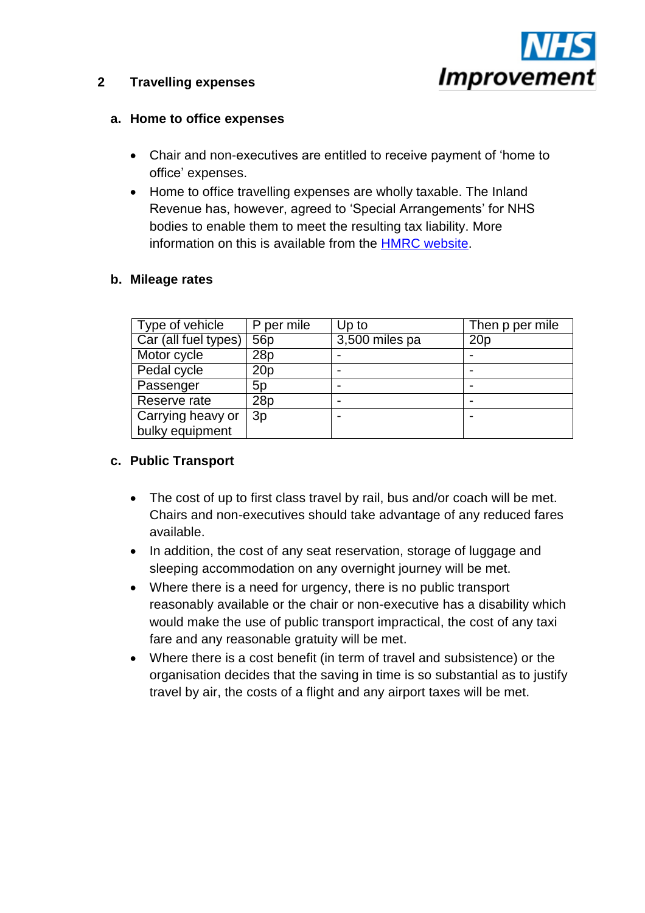

## **2 Travelling expenses**

### **a. Home to office expenses**

- Chair and non-executives are entitled to receive payment of 'home to office' expenses.
- Home to office travelling expenses are wholly taxable. The Inland Revenue has, however, agreed to 'Special Arrangements' for NHS bodies to enable them to meet the resulting tax liability. More information on this is available from the [HMRC website.](http://www.hmrc.gov.uk/manuals/pommanual/PAYE70270.htm)

### **b. Mileage rates**

| Type of vehicle      | P per mile      | Up to          | Then p per mile |
|----------------------|-----------------|----------------|-----------------|
| Car (all fuel types) | 56 <sub>p</sub> | 3,500 miles pa | 20 <sub>p</sub> |
| Motor cycle          | 28p             |                |                 |
| Pedal cycle          | 20p             |                |                 |
| Passenger            | 5p              |                |                 |
| Reserve rate         | 28p             |                |                 |
| Carrying heavy or    | 3p              |                |                 |
| bulky equipment      |                 |                |                 |

# **c. Public Transport**

- The cost of up to first class travel by rail, bus and/or coach will be met. Chairs and non-executives should take advantage of any reduced fares available.
- In addition, the cost of any seat reservation, storage of luggage and sleeping accommodation on any overnight journey will be met.
- Where there is a need for urgency, there is no public transport reasonably available or the chair or non-executive has a disability which would make the use of public transport impractical, the cost of any taxi fare and any reasonable gratuity will be met.
- Where there is a cost benefit (in term of travel and subsistence) or the organisation decides that the saving in time is so substantial as to justify travel by air, the costs of a flight and any airport taxes will be met.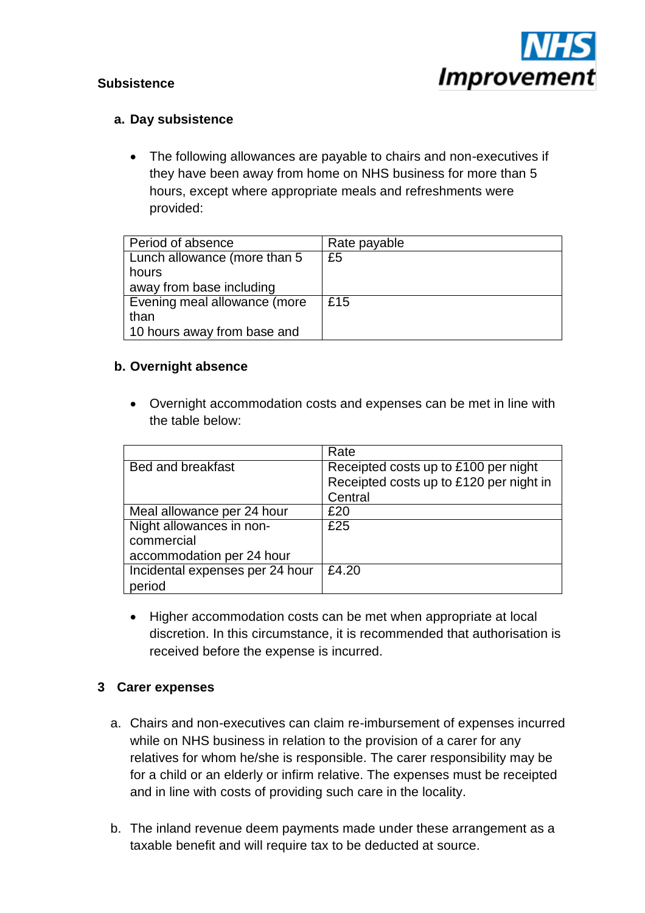

# **Subsistence**

## **a. Day subsistence**

• The following allowances are payable to chairs and non-executives if they have been away from home on NHS business for more than 5 hours, except where appropriate meals and refreshments were provided:

| Period of absence            | Rate payable |
|------------------------------|--------------|
| Lunch allowance (more than 5 | £5           |
| hours                        |              |
| away from base including     |              |
| Evening meal allowance (more | £15          |
| than                         |              |
| 10 hours away from base and  |              |

### **b. Overnight absence**

 Overnight accommodation costs and expenses can be met in line with the table below:

|                                 | Rate                                    |
|---------------------------------|-----------------------------------------|
| Bed and breakfast               | Receipted costs up to £100 per night    |
|                                 | Receipted costs up to £120 per night in |
|                                 | Central                                 |
| Meal allowance per 24 hour      | £20                                     |
| Night allowances in non-        | £25                                     |
| commercial                      |                                         |
| accommodation per 24 hour       |                                         |
| Incidental expenses per 24 hour | £4.20                                   |
| period                          |                                         |

• Higher accommodation costs can be met when appropriate at local discretion. In this circumstance, it is recommended that authorisation is received before the expense is incurred.

# **3 Carer expenses**

- a. Chairs and non-executives can claim re-imbursement of expenses incurred while on NHS business in relation to the provision of a carer for any relatives for whom he/she is responsible. The carer responsibility may be for a child or an elderly or infirm relative. The expenses must be receipted and in line with costs of providing such care in the locality.
- b. The inland revenue deem payments made under these arrangement as a taxable benefit and will require tax to be deducted at source.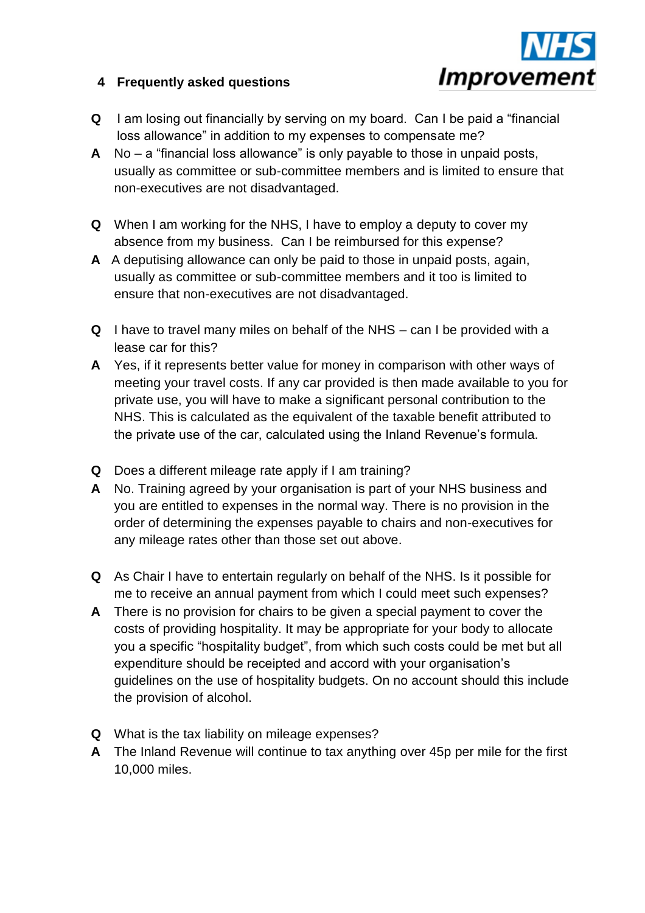

# **4 Frequently asked questions**

- **Q** I am losing out financially by serving on my board. Can I be paid a "financial loss allowance" in addition to my expenses to compensate me?
- **A** No a "financial loss allowance" is only payable to those in unpaid posts, usually as committee or sub-committee members and is limited to ensure that non-executives are not disadvantaged.
- **Q** When I am working for the NHS, I have to employ a deputy to cover my absence from my business. Can I be reimbursed for this expense?
- **A** A deputising allowance can only be paid to those in unpaid posts, again, usually as committee or sub-committee members and it too is limited to ensure that non-executives are not disadvantaged.
- **Q** I have to travel many miles on behalf of the NHS can I be provided with a lease car for this?
- **A** Yes, if it represents better value for money in comparison with other ways of meeting your travel costs. If any car provided is then made available to you for private use, you will have to make a significant personal contribution to the NHS. This is calculated as the equivalent of the taxable benefit attributed to the private use of the car, calculated using the Inland Revenue's formula.
- **Q** Does a different mileage rate apply if I am training?
- **A** No. Training agreed by your organisation is part of your NHS business and you are entitled to expenses in the normal way. There is no provision in the order of determining the expenses payable to chairs and non-executives for any mileage rates other than those set out above.
- **Q** As Chair I have to entertain regularly on behalf of the NHS. Is it possible for me to receive an annual payment from which I could meet such expenses?
- **A** There is no provision for chairs to be given a special payment to cover the costs of providing hospitality. It may be appropriate for your body to allocate you a specific "hospitality budget", from which such costs could be met but all expenditure should be receipted and accord with your organisation's guidelines on the use of hospitality budgets. On no account should this include the provision of alcohol.
- **Q** What is the tax liability on mileage expenses?
- **A** The Inland Revenue will continue to tax anything over 45p per mile for the first 10,000 miles.